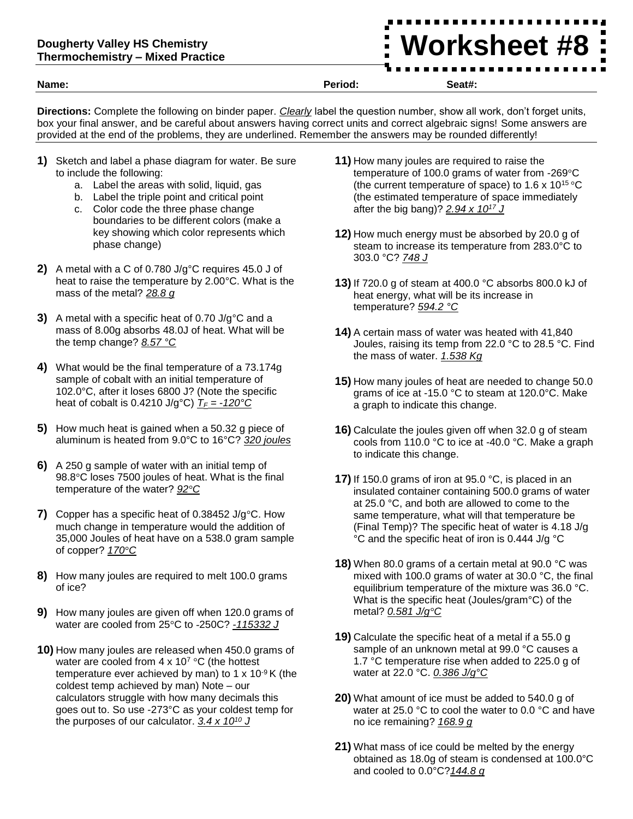## **Dougherty Valley HS Chemistry Thermochemistry – Mixed Practice**

**Worksheet #8**

**Name: Period: Seat#:**

**Directions:** Complete the following on binder paper. *Clearly* label the question number, show all work, don't forget units, box your final answer, and be careful about answers having correct units and correct algebraic signs! Some answers are provided at the end of the problems, they are underlined. Remember the answers may be rounded differently!

- **1)** Sketch and label a phase diagram for water. Be sure to include the following:
	- a. Label the areas with solid, liquid, gas
	- b. Label the triple point and critical point
	- c. Color code the three phase change boundaries to be different colors (make a key showing which color represents which phase change)
- **2)** A metal with a C of 0.780 J/g°C requires 45.0 J of heat to raise the temperature by 2.00°C. What is the mass of the metal? *28.8 g*
- **3)** A metal with a specific heat of 0.70 J/g°C and a mass of 8.00g absorbs 48.0J of heat. What will be the temp change? *8.57 °C*
- **4)** What would be the final temperature of a 73.174g sample of cobalt with an initial temperature of 102.0°C, after it loses 6800 J? (Note the specific heat of cobalt is 0.4210 J/g<sup>o</sup>C)  $T_F = -120^\circ \text{C}$
- **5)** How much heat is gained when a 50.32 g piece of aluminum is heated from 9.0°C to 16°C? *320 joules*
- **6)** A 250 g sample of water with an initial temp of 98.8°C loses 7500 joules of heat. What is the final temperature of the water? *92°C*
- **7)** Copper has a specific heat of 0.38452 J/g°C. How much change in temperature would the addition of 35,000 Joules of heat have on a 538.0 gram sample of copper? *170°C*
- **8)** How many joules are required to melt 100.0 grams of ice?
- **9)** How many joules are given off when 120.0 grams of water are cooled from 25°C to -250C? *-115332 J*
- **10)** How many joules are released when 450.0 grams of water are cooled from  $4 \times 10^7$  °C (the hottest temperature ever achieved by man) to 1  $\times$  10<sup>-9</sup> K (the coldest temp achieved by man) Note – our calculators struggle with how many decimals this goes out to. So use -273°C as your coldest temp for the purposes of our calculator. *3.4 x 10<sup>10</sup> J*
- **11)** How many joules are required to raise the temperature of 100.0 grams of water from -269°C (the current temperature of space) to 1.6 x 10<sup>15</sup> °C (the estimated temperature of space immediately after the big bang)? *2.94 x 10<sup>17</sup> J*
- **12)** How much energy must be absorbed by 20.0 g of steam to increase its temperature from 283.0°C to 303.0 °C? *748 J*
- **13)** If 720.0 g of steam at 400.0 °C absorbs 800.0 kJ of heat energy, what will be its increase in temperature? *594.2 °C*
- **14)** A certain mass of water was heated with 41,840 Joules, raising its temp from 22.0 °C to 28.5 °C. Find the mass of water. *1.538 Kg*
- **15)** How many joules of heat are needed to change 50.0 grams of ice at -15.0 °C to steam at 120.0°C. Make a graph to indicate this change.
- **16)** Calculate the joules given off when 32.0 g of steam cools from 110.0 °C to ice at -40.0 °C. Make a graph to indicate this change.
- **17)** If 150.0 grams of iron at 95.0 °C, is placed in an insulated container containing 500.0 grams of water at 25.0 °C, and both are allowed to come to the same temperature, what will that temperature be (Final Temp)? The specific heat of water is 4.18 J/g °C and the specific heat of iron is 0.444 J/g °C
- **18)** When 80.0 grams of a certain metal at 90.0 °C was mixed with 100.0 grams of water at 30.0 °C, the final equilibrium temperature of the mixture was 36.0 °C. What is the specific heat (Joules/gram°C) of the metal? *0.581 J/g°C*
- **19)** Calculate the specific heat of a metal if a 55.0 g sample of an unknown metal at 99.0 °C causes a 1.7 °C temperature rise when added to 225.0 g of water at 22.0 °C. *0.386 J/g°C*
- **20)** What amount of ice must be added to 540.0 g of water at 25.0 °C to cool the water to 0.0 °C and have no ice remaining? *168.9 g*
- **21)** What mass of ice could be melted by the energy obtained as 18.0g of steam is condensed at 100.0°C and cooled to 0.0°C?*144.8 g*